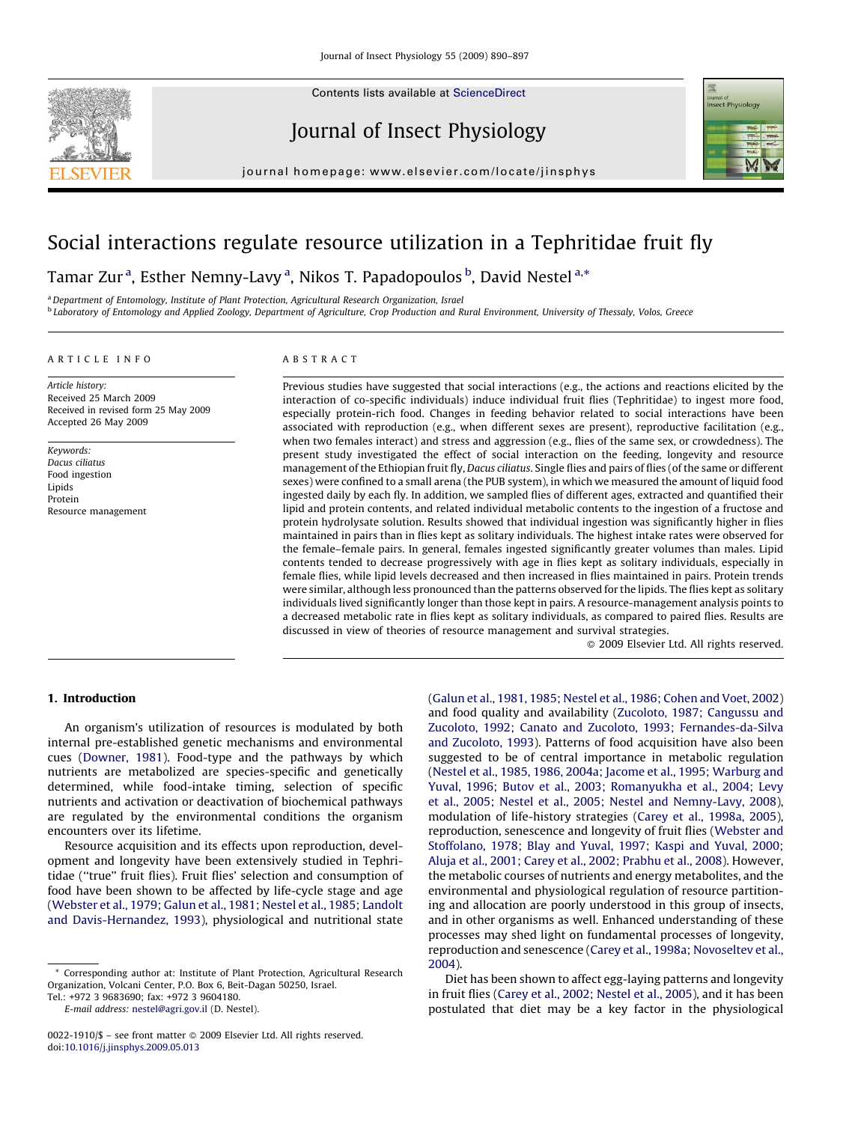

Contents lists available at [ScienceDirect](http://www.sciencedirect.com/science/journal/00221910)

# Journal of Insect Physiology



journal homepage: www.elsevier.com/locate/jinsphys

# Social interactions regulate resource utilization in a Tephritidae fruit fly

# Tamar Zur<sup>a</sup>, Esther Nemny-Lavy<sup>a</sup>, Nikos T. Papadopoulos <sup>b</sup>, David Nestel <sup>a,</sup>\*

a Department of Entomology, Institute of Plant Protection, Agricultural Research Organization, Israel **b Laboratory of Entomology and Applied Zoology, Department of Agriculture, Crop Production and Rural Environment, University of Thessaly, Volos, Greece** 

#### ARTICLE INFO

Article history: Received 25 March 2009 Received in revised form 25 May 2009 Accepted 26 May 2009

Keywords: Dacus ciliatus Food ingestion Lipids Protein Resource management

# ABSTRACT

Previous studies have suggested that social interactions (e.g., the actions and reactions elicited by the interaction of co-specific individuals) induce individual fruit flies (Tephritidae) to ingest more food, especially protein-rich food. Changes in feeding behavior related to social interactions have been associated with reproduction (e.g., when different sexes are present), reproductive facilitation (e.g., when two females interact) and stress and aggression (e.g., flies of the same sex, or crowdedness). The present study investigated the effect of social interaction on the feeding, longevity and resource management of the Ethiopian fruit fly, Dacus ciliatus. Single flies and pairs of flies (of the same or different sexes) were confined to a small arena (the PUB system), in which we measured the amount of liquid food ingested daily by each fly. In addition, we sampled flies of different ages, extracted and quantified their lipid and protein contents, and related individual metabolic contents to the ingestion of a fructose and protein hydrolysate solution. Results showed that individual ingestion was significantly higher in flies maintained in pairs than in flies kept as solitary individuals. The highest intake rates were observed for the female–female pairs. In general, females ingested significantly greater volumes than males. Lipid contents tended to decrease progressively with age in flies kept as solitary individuals, especially in female flies, while lipid levels decreased and then increased in flies maintained in pairs. Protein trends were similar, although less pronounced than the patterns observed for the lipids. The flies kept as solitary individuals lived significantly longer than those kept in pairs. A resource-management analysis points to a decreased metabolic rate in flies kept as solitary individuals, as compared to paired flies. Results are discussed in view of theories of resource management and survival strategies.

- 2009 Elsevier Ltd. All rights reserved.

# 1. Introduction

An organism's utilization of resources is modulated by both internal pre-established genetic mechanisms and environmental cues ([Downer, 1981](#page-6-0)). Food-type and the pathways by which nutrients are metabolized are species-specific and genetically determined, while food-intake timing, selection of specific nutrients and activation or deactivation of biochemical pathways are regulated by the environmental conditions the organism encounters over its lifetime.

Resource acquisition and its effects upon reproduction, development and longevity have been extensively studied in Tephritidae (''true'' fruit flies). Fruit flies' selection and consumption of food have been shown to be affected by life-cycle stage and age ([Webster et al., 1979; Galun et al., 1981; Nestel et al., 1985; Landolt](#page-7-0) [and Davis-Hernandez, 1993\)](#page-7-0), physiological and nutritional state

Tel.: +972 3 9683690; fax: +972 3 9604180.

E-mail address: [nestel@agri.gov.il](mailto:nestel@agri.gov.il) (D. Nestel).

([Galun et al., 1981, 1985; Nestel et al., 1986; Cohen and Voet, 2002\)](#page-6-0) and food quality and availability [\(Zucoloto, 1987; Cangussu and](#page-7-0) [Zucoloto, 1992; Canato and Zucoloto, 1993; Fernandes-da-Silva](#page-7-0) [and Zucoloto, 1993](#page-7-0)). Patterns of food acquisition have also been suggested to be of central importance in metabolic regulation ([Nestel et al., 1985, 1986, 2004a; Jacome et al., 1995; Warburg and](#page-7-0) [Yuval, 1996; Butov et al., 2003; Romanyukha et al., 2004; Levy](#page-7-0) [et al., 2005; Nestel et al., 2005; Nestel and Nemny-Lavy, 2008\)](#page-7-0), modulation of life-history strategies ([Carey et al., 1998a, 2005\)](#page-6-0), reproduction, senescence and longevity of fruit flies [\(Webster and](#page-7-0) [Stoffolano, 1978; Blay and Yuval, 1997; Kaspi and Yuval, 2000;](#page-7-0) [Aluja et al., 2001; Carey et al., 2002; Prabhu et al., 2008](#page-7-0)). However, the metabolic courses of nutrients and energy metabolites, and the environmental and physiological regulation of resource partitioning and allocation are poorly understood in this group of insects, and in other organisms as well. Enhanced understanding of these processes may shed light on fundamental processes of longevity, reproduction and senescence [\(Carey et al., 1998a; Novoseltev et al.,](#page-6-0) [2004\)](#page-6-0).

Diet has been shown to affect egg-laying patterns and longevity in fruit flies ([Carey et al., 2002; Nestel et al., 2005](#page-6-0)), and it has been postulated that diet may be a key factor in the physiological

<sup>\*</sup> Corresponding author at: Institute of Plant Protection, Agricultural Research Organization, Volcani Center, P.O. Box 6, Beit-Dagan 50250, Israel.

<sup>0022-1910/\$ –</sup> see front matter © 2009 Elsevier Ltd. All rights reserved. doi:[10.1016/j.jinsphys.2009.05.013](http://dx.doi.org/10.1016/j.jinsphys.2009.05.013)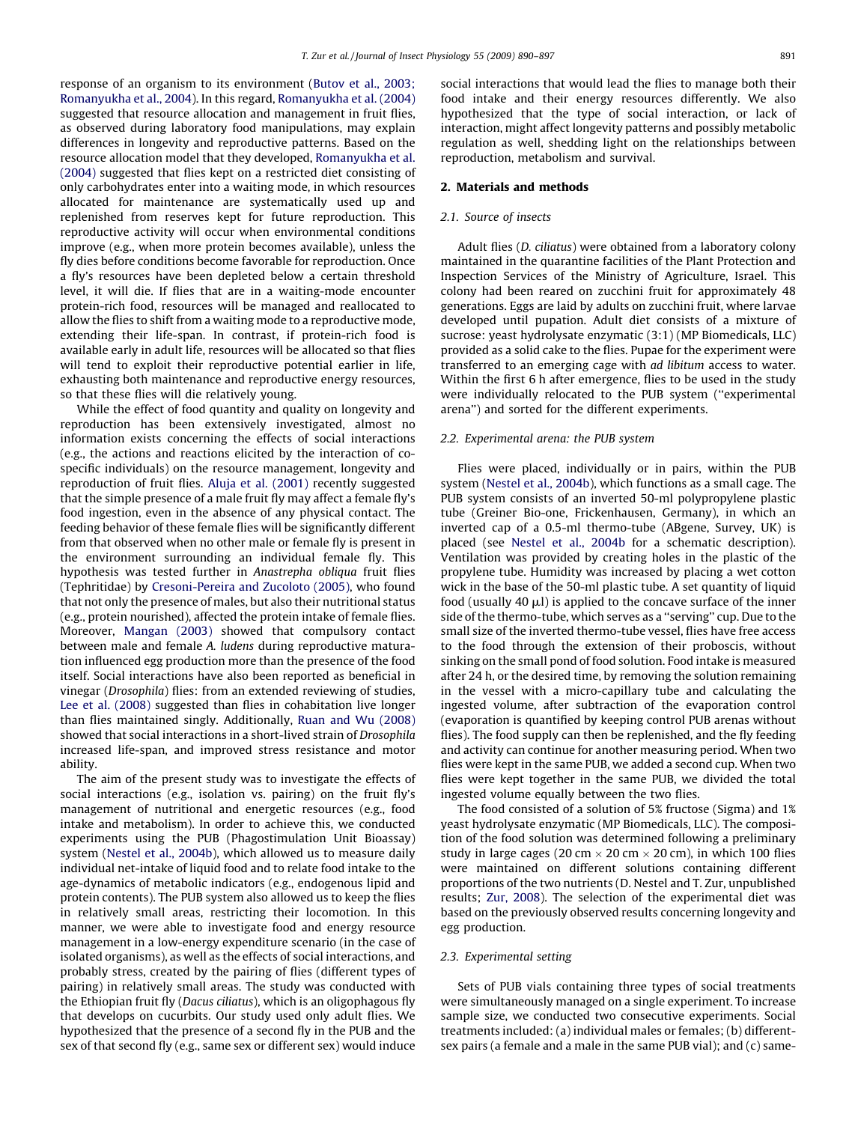response of an organism to its environment [\(Butov et al., 2003;](#page-6-0) [Romanyukha et al., 2004](#page-6-0)). In this regard, [Romanyukha et al. \(2004\)](#page-7-0) suggested that resource allocation and management in fruit flies, as observed during laboratory food manipulations, may explain differences in longevity and reproductive patterns. Based on the resource allocation model that they developed, [Romanyukha et al.](#page-7-0) [\(2004\)](#page-7-0) suggested that flies kept on a restricted diet consisting of only carbohydrates enter into a waiting mode, in which resources allocated for maintenance are systematically used up and replenished from reserves kept for future reproduction. This reproductive activity will occur when environmental conditions improve (e.g., when more protein becomes available), unless the fly dies before conditions become favorable for reproduction. Once a fly's resources have been depleted below a certain threshold level, it will die. If flies that are in a waiting-mode encounter protein-rich food, resources will be managed and reallocated to allow the flies to shift from a waiting mode to a reproductive mode, extending their life-span. In contrast, if protein-rich food is available early in adult life, resources will be allocated so that flies will tend to exploit their reproductive potential earlier in life, exhausting both maintenance and reproductive energy resources, so that these flies will die relatively young.

While the effect of food quantity and quality on longevity and reproduction has been extensively investigated, almost no information exists concerning the effects of social interactions (e.g., the actions and reactions elicited by the interaction of cospecific individuals) on the resource management, longevity and reproduction of fruit flies. [Aluja et al. \(2001\)](#page-6-0) recently suggested that the simple presence of a male fruit fly may affect a female fly's food ingestion, even in the absence of any physical contact. The feeding behavior of these female flies will be significantly different from that observed when no other male or female fly is present in the environment surrounding an individual female fly. This hypothesis was tested further in Anastrepha obliqua fruit flies (Tephritidae) by [Cresoni-Pereira and Zucoloto \(2005\)](#page-6-0), who found that not only the presence of males, but also their nutritional status (e.g., protein nourished), affected the protein intake of female flies. Moreover, [Mangan \(2003\)](#page-6-0) showed that compulsory contact between male and female A. ludens during reproductive maturation influenced egg production more than the presence of the food itself. Social interactions have also been reported as beneficial in vinegar (Drosophila) flies: from an extended reviewing of studies, [Lee et al. \(2008\)](#page-6-0) suggested than flies in cohabitation live longer than flies maintained singly. Additionally, [Ruan and Wu \(2008\)](#page-7-0) showed that social interactions in a short-lived strain of Drosophila increased life-span, and improved stress resistance and motor ability.

The aim of the present study was to investigate the effects of social interactions (e.g., isolation vs. pairing) on the fruit fly's management of nutritional and energetic resources (e.g., food intake and metabolism). In order to achieve this, we conducted experiments using the PUB (Phagostimulation Unit Bioassay) system ([Nestel et al., 2004b](#page-7-0)), which allowed us to measure daily individual net-intake of liquid food and to relate food intake to the age-dynamics of metabolic indicators (e.g., endogenous lipid and protein contents). The PUB system also allowed us to keep the flies in relatively small areas, restricting their locomotion. In this manner, we were able to investigate food and energy resource management in a low-energy expenditure scenario (in the case of isolated organisms), as well as the effects of social interactions, and probably stress, created by the pairing of flies (different types of pairing) in relatively small areas. The study was conducted with the Ethiopian fruit fly (Dacus ciliatus), which is an oligophagous fly that develops on cucurbits. Our study used only adult flies. We hypothesized that the presence of a second fly in the PUB and the sex of that second fly (e.g., same sex or different sex) would induce

social interactions that would lead the flies to manage both their food intake and their energy resources differently. We also hypothesized that the type of social interaction, or lack of interaction, might affect longevity patterns and possibly metabolic regulation as well, shedding light on the relationships between reproduction, metabolism and survival.

# 2. Materials and methods

# 2.1. Source of insects

Adult flies (D. ciliatus) were obtained from a laboratory colony maintained in the quarantine facilities of the Plant Protection and Inspection Services of the Ministry of Agriculture, Israel. This colony had been reared on zucchini fruit for approximately 48 generations. Eggs are laid by adults on zucchini fruit, where larvae developed until pupation. Adult diet consists of a mixture of sucrose: yeast hydrolysate enzymatic (3:1) (MP Biomedicals, LLC) provided as a solid cake to the flies. Pupae for the experiment were transferred to an emerging cage with ad libitum access to water. Within the first 6 h after emergence, flies to be used in the study were individually relocated to the PUB system ("experimental arena'') and sorted for the different experiments.

#### 2.2. Experimental arena: the PUB system

Flies were placed, individually or in pairs, within the PUB system ([Nestel et al., 2004b\)](#page-7-0), which functions as a small cage. The PUB system consists of an inverted 50-ml polypropylene plastic tube (Greiner Bio-one, Frickenhausen, Germany), in which an inverted cap of a 0.5-ml thermo-tube (ABgene, Survey, UK) is placed (see [Nestel et al., 2004b](#page-7-0) for a schematic description). Ventilation was provided by creating holes in the plastic of the propylene tube. Humidity was increased by placing a wet cotton wick in the base of the 50-ml plastic tube. A set quantity of liquid food (usually 40  $\mu$ l) is applied to the concave surface of the inner side of the thermo-tube, which serves as a ''serving'' cup. Due to the small size of the inverted thermo-tube vessel, flies have free access to the food through the extension of their proboscis, without sinking on the small pond of food solution. Food intake is measured after 24 h, or the desired time, by removing the solution remaining in the vessel with a micro-capillary tube and calculating the ingested volume, after subtraction of the evaporation control (evaporation is quantified by keeping control PUB arenas without flies). The food supply can then be replenished, and the fly feeding and activity can continue for another measuring period. When two flies were kept in the same PUB, we added a second cup. When two flies were kept together in the same PUB, we divided the total ingested volume equally between the two flies.

The food consisted of a solution of 5% fructose (Sigma) and 1% yeast hydrolysate enzymatic (MP Biomedicals, LLC). The composition of the food solution was determined following a preliminary study in large cages (20 cm  $\times$  20 cm  $\times$  20 cm), in which 100 flies were maintained on different solutions containing different proportions of the two nutrients (D. Nestel and T. Zur, unpublished results; [Zur, 2008\)](#page-7-0). The selection of the experimental diet was based on the previously observed results concerning longevity and egg production.

#### 2.3. Experimental setting

Sets of PUB vials containing three types of social treatments were simultaneously managed on a single experiment. To increase sample size, we conducted two consecutive experiments. Social treatments included: (a) individual males or females; (b) differentsex pairs (a female and a male in the same PUB vial); and (c) same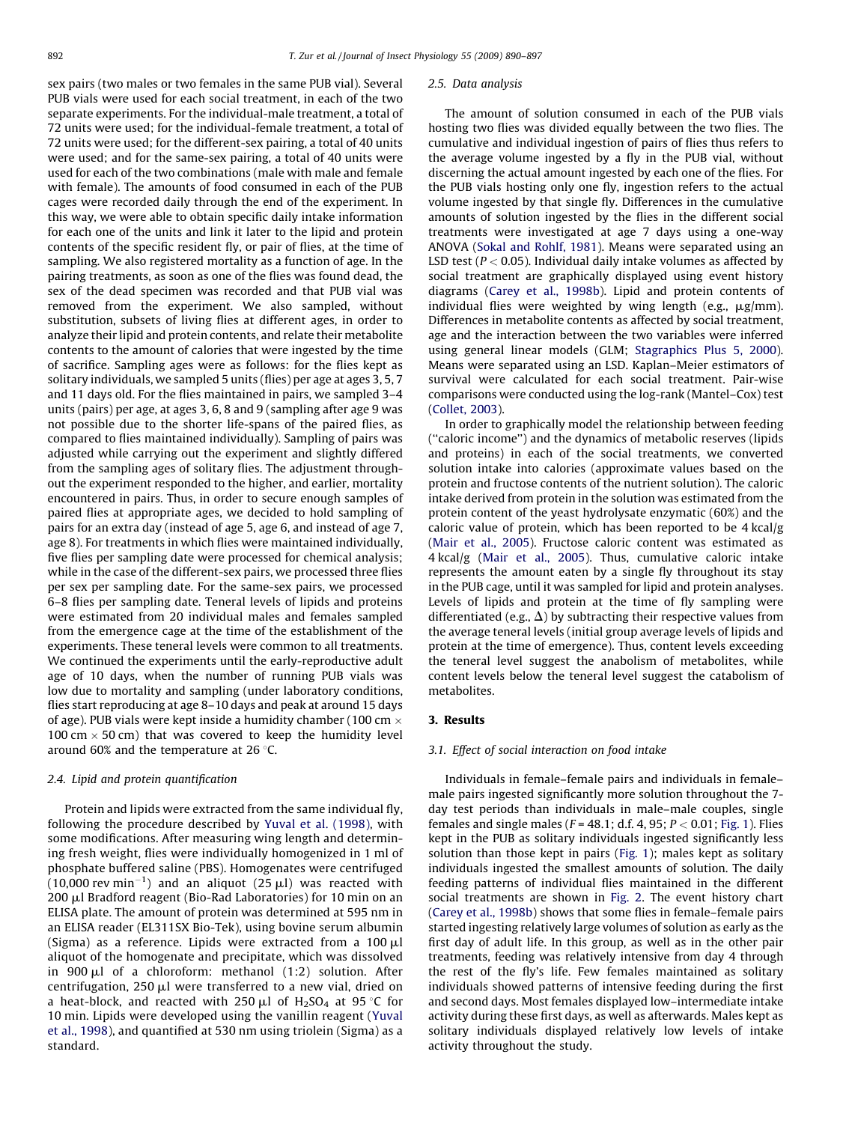sex pairs (two males or two females in the same PUB vial). Several PUB vials were used for each social treatment, in each of the two separate experiments. For the individual-male treatment, a total of 72 units were used; for the individual-female treatment, a total of 72 units were used; for the different-sex pairing, a total of 40 units were used; and for the same-sex pairing, a total of 40 units were used for each of the two combinations (male with male and female with female). The amounts of food consumed in each of the PUB cages were recorded daily through the end of the experiment. In this way, we were able to obtain specific daily intake information for each one of the units and link it later to the lipid and protein contents of the specific resident fly, or pair of flies, at the time of sampling. We also registered mortality as a function of age. In the pairing treatments, as soon as one of the flies was found dead, the sex of the dead specimen was recorded and that PUB vial was removed from the experiment. We also sampled, without substitution, subsets of living flies at different ages, in order to analyze their lipid and protein contents, and relate their metabolite contents to the amount of calories that were ingested by the time of sacrifice. Sampling ages were as follows: for the flies kept as solitary individuals, we sampled 5 units (flies) per age at ages 3, 5, 7 and 11 days old. For the flies maintained in pairs, we sampled 3–4 units (pairs) per age, at ages 3, 6, 8 and 9 (sampling after age 9 was not possible due to the shorter life-spans of the paired flies, as compared to flies maintained individually). Sampling of pairs was adjusted while carrying out the experiment and slightly differed from the sampling ages of solitary flies. The adjustment throughout the experiment responded to the higher, and earlier, mortality encountered in pairs. Thus, in order to secure enough samples of paired flies at appropriate ages, we decided to hold sampling of pairs for an extra day (instead of age 5, age 6, and instead of age 7, age 8). For treatments in which flies were maintained individually, five flies per sampling date were processed for chemical analysis; while in the case of the different-sex pairs, we processed three flies per sex per sampling date. For the same-sex pairs, we processed 6–8 flies per sampling date. Teneral levels of lipids and proteins were estimated from 20 individual males and females sampled from the emergence cage at the time of the establishment of the experiments. These teneral levels were common to all treatments. We continued the experiments until the early-reproductive adult age of 10 days, when the number of running PUB vials was low due to mortality and sampling (under laboratory conditions, flies start reproducing at age 8–10 days and peak at around 15 days of age). PUB vials were kept inside a humidity chamber (100 cm  $\times$ 100 cm  $\times$  50 cm) that was covered to keep the humidity level around 60% and the temperature at 26 $\degree$ C.

# 2.4. Lipid and protein quantification

Protein and lipids were extracted from the same individual fly, following the procedure described by [Yuval et al. \(1998\)](#page-7-0), with some modifications. After measuring wing length and determining fresh weight, flies were individually homogenized in 1 ml of phosphate buffered saline (PBS). Homogenates were centrifuged (10,000 rev min<sup>-1</sup>) and an aliquot (25  $\mu$ l) was reacted with  $200 \mu$ l Bradford reagent (Bio-Rad Laboratories) for 10 min on an ELISA plate. The amount of protein was determined at 595 nm in an ELISA reader (EL311SX Bio-Tek), using bovine serum albumin (Sigma) as a reference. Lipids were extracted from a  $100 \mu l$ aliquot of the homogenate and precipitate, which was dissolved in 900  $\mu$ l of a chloroform: methanol (1:2) solution. After centrifugation,  $250 \mu l$  were transferred to a new vial, dried on a heat-block, and reacted with 250  $\mu$ l of H<sub>2</sub>SO<sub>4</sub> at 95 °C for 10 min. Lipids were developed using the vanillin reagent ([Yuval](#page-7-0) [et al., 1998](#page-7-0)), and quantified at 530 nm using triolein (Sigma) as a standard.

#### 2.5. Data analysis

The amount of solution consumed in each of the PUB vials hosting two flies was divided equally between the two flies. The cumulative and individual ingestion of pairs of flies thus refers to the average volume ingested by a fly in the PUB vial, without discerning the actual amount ingested by each one of the flies. For the PUB vials hosting only one fly, ingestion refers to the actual volume ingested by that single fly. Differences in the cumulative amounts of solution ingested by the flies in the different social treatments were investigated at age 7 days using a one-way ANOVA [\(Sokal and Rohlf, 1981](#page-7-0)). Means were separated using an LSD test ( $P < 0.05$ ). Individual daily intake volumes as affected by social treatment are graphically displayed using event history diagrams ([Carey et al., 1998b\)](#page-6-0). Lipid and protein contents of individual flies were weighted by wing length (e.g.,  $\mu$ g/mm). Differences in metabolite contents as affected by social treatment, age and the interaction between the two variables were inferred using general linear models (GLM; [Stagraphics Plus 5, 2000\)](#page-7-0). Means were separated using an LSD. Kaplan–Meier estimators of survival were calculated for each social treatment. Pair-wise comparisons were conducted using the log-rank (Mantel–Cox) test ([Collet, 2003\)](#page-6-0).

In order to graphically model the relationship between feeding (''caloric income'') and the dynamics of metabolic reserves (lipids and proteins) in each of the social treatments, we converted solution intake into calories (approximate values based on the protein and fructose contents of the nutrient solution). The caloric intake derived from protein in the solution was estimated from the protein content of the yeast hydrolysate enzymatic (60%) and the caloric value of protein, which has been reported to be 4 kcal/g ([Mair et al., 2005](#page-6-0)). Fructose caloric content was estimated as 4 kcal/g [\(Mair et al., 2005\)](#page-6-0). Thus, cumulative caloric intake represents the amount eaten by a single fly throughout its stay in the PUB cage, until it was sampled for lipid and protein analyses. Levels of lipids and protein at the time of fly sampling were differentiated (e.g.,  $\Delta$ ) by subtracting their respective values from the average teneral levels (initial group average levels of lipids and protein at the time of emergence). Thus, content levels exceeding the teneral level suggest the anabolism of metabolites, while content levels below the teneral level suggest the catabolism of metabolites.

#### 3. Results

### 3.1. Effect of social interaction on food intake

Individuals in female–female pairs and individuals in female– male pairs ingested significantly more solution throughout the 7 day test periods than individuals in male–male couples, single females and single males ( $F = 48.1$ ; d.f. 4, 95;  $P < 0.01$ ; [Fig. 1\)](#page-3-0). Flies kept in the PUB as solitary individuals ingested significantly less solution than those kept in pairs ([Fig. 1\)](#page-3-0); males kept as solitary individuals ingested the smallest amounts of solution. The daily feeding patterns of individual flies maintained in the different social treatments are shown in [Fig. 2.](#page-3-0) The event history chart ([Carey et al., 1998b](#page-6-0)) shows that some flies in female–female pairs started ingesting relatively large volumes of solution as early as the first day of adult life. In this group, as well as in the other pair treatments, feeding was relatively intensive from day 4 through the rest of the fly's life. Few females maintained as solitary individuals showed patterns of intensive feeding during the first and second days. Most females displayed low–intermediate intake activity during these first days, as well as afterwards. Males kept as solitary individuals displayed relatively low levels of intake activity throughout the study.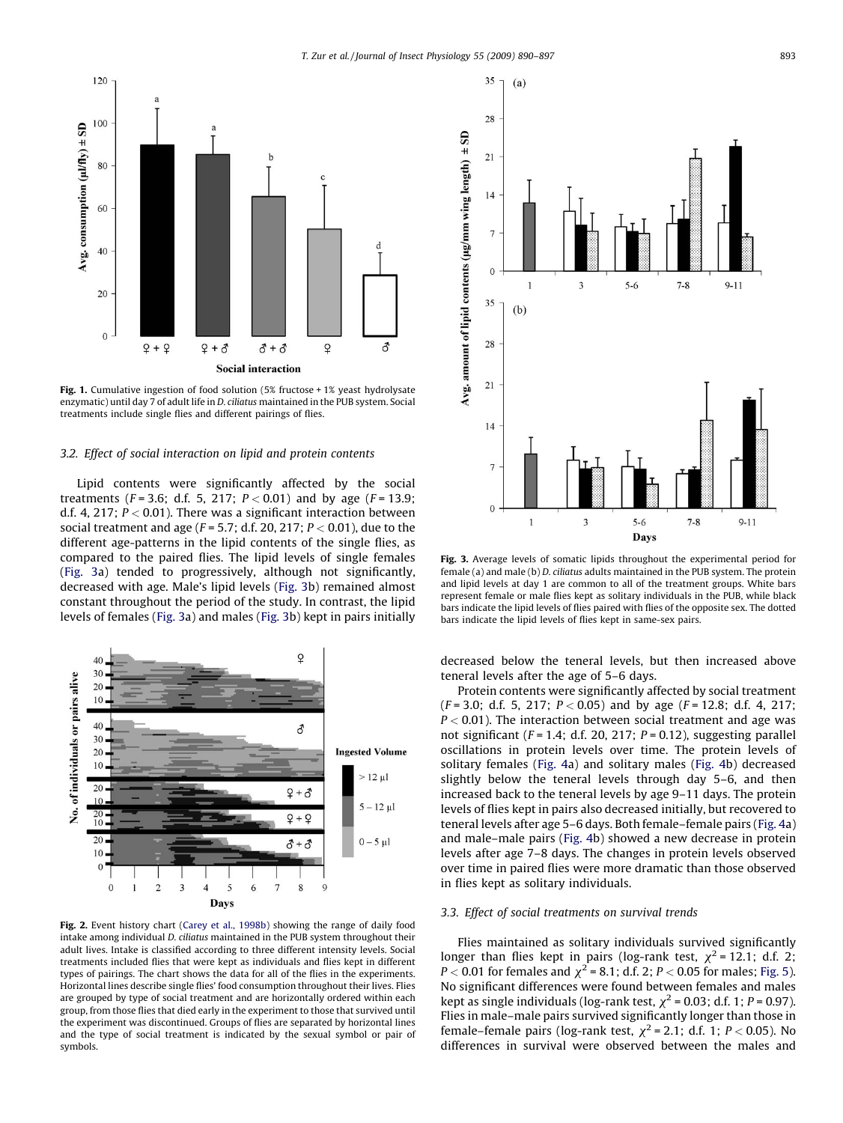<span id="page-3-0"></span>

Fig. 1. Cumulative ingestion of food solution (5% fructose + 1% yeast hydrolysate enzymatic) until day 7 of adult life in D. ciliatus maintained in the PUB system. Social treatments include single flies and different pairings of flies.

# 3.2. Effect of social interaction on lipid and protein contents

Lipid contents were significantly affected by the social treatments ( $F = 3.6$ ; d.f. 5, 217;  $P < 0.01$ ) and by age ( $F = 13.9$ ; d.f. 4, 217;  $P < 0.01$ ). There was a significant interaction between social treatment and age ( $F = 5.7$ ; d.f. 20, 217;  $P < 0.01$ ), due to the different age-patterns in the lipid contents of the single flies, as compared to the paired flies. The lipid levels of single females (Fig. 3a) tended to progressively, although not significantly, decreased with age. Male's lipid levels (Fig. 3b) remained almost constant throughout the period of the study. In contrast, the lipid levels of females (Fig. 3a) and males (Fig. 3b) kept in pairs initially



Fig. 2. Event history chart [\(Carey et al., 1998b](#page-6-0)) showing the range of daily food intake among individual D. ciliatus maintained in the PUB system throughout their adult lives. Intake is classified according to three different intensity levels. Social treatments included flies that were kept as individuals and flies kept in different types of pairings. The chart shows the data for all of the flies in the experiments. Horizontal lines describe single flies' food consumption throughout their lives. Flies are grouped by type of social treatment and are horizontally ordered within each group, from those flies that died early in the experiment to those that survived until the experiment was discontinued. Groups of flies are separated by horizontal lines and the type of social treatment is indicated by the sexual symbol or pair of symbols.



Fig. 3. Average levels of somatic lipids throughout the experimental period for female (a) and male (b) D. ciliatus adults maintained in the PUB system. The protein and lipid levels at day 1 are common to all of the treatment groups. White bars represent female or male flies kept as solitary individuals in the PUB, while black bars indicate the lipid levels of flies paired with flies of the opposite sex. The dotted bars indicate the lipid levels of flies kept in same-sex pairs.

decreased below the teneral levels, but then increased above teneral levels after the age of 5–6 days.

Protein contents were significantly affected by social treatment  $(F = 3.0; d.f. 5, 217; P < 0.05)$  and by age  $(F = 12.8; d.f. 4, 217;$  $P < 0.01$ ). The interaction between social treatment and age was not significant ( $F = 1.4$ ; d.f. 20, 217;  $P = 0.12$ ), suggesting parallel oscillations in protein levels over time. The protein levels of solitary females ([Fig. 4](#page-4-0)a) and solitary males ([Fig. 4](#page-4-0)b) decreased slightly below the teneral levels through day 5–6, and then increased back to the teneral levels by age 9–11 days. The protein levels of flies kept in pairs also decreased initially, but recovered to teneral levels after age 5–6 days. Both female–female pairs ([Fig. 4](#page-4-0)a) and male–male pairs [\(Fig. 4](#page-4-0)b) showed a new decrease in protein levels after age 7–8 days. The changes in protein levels observed over time in paired flies were more dramatic than those observed in flies kept as solitary individuals.

#### 3.3. Effect of social treatments on survival trends

Flies maintained as solitary individuals survived significantly longer than flies kept in pairs (log-rank test,  $\chi^2$  = 12.1; d.f. 2; *P* < 0.01 for females and  $\chi^2$  = 8.1; d.f. 2; *P* < 0.05 for males; [Fig. 5\)](#page-4-0). No significant differences were found between females and males kept as single individuals (log-rank test,  $\chi^2$  = 0.03; d.f. 1; P = 0.97). Flies in male–male pairs survived significantly longer than those in female–female pairs (log-rank test,  $\chi^2$  = 2.1; d.f. 1; P < 0.05). No differences in survival were observed between the males and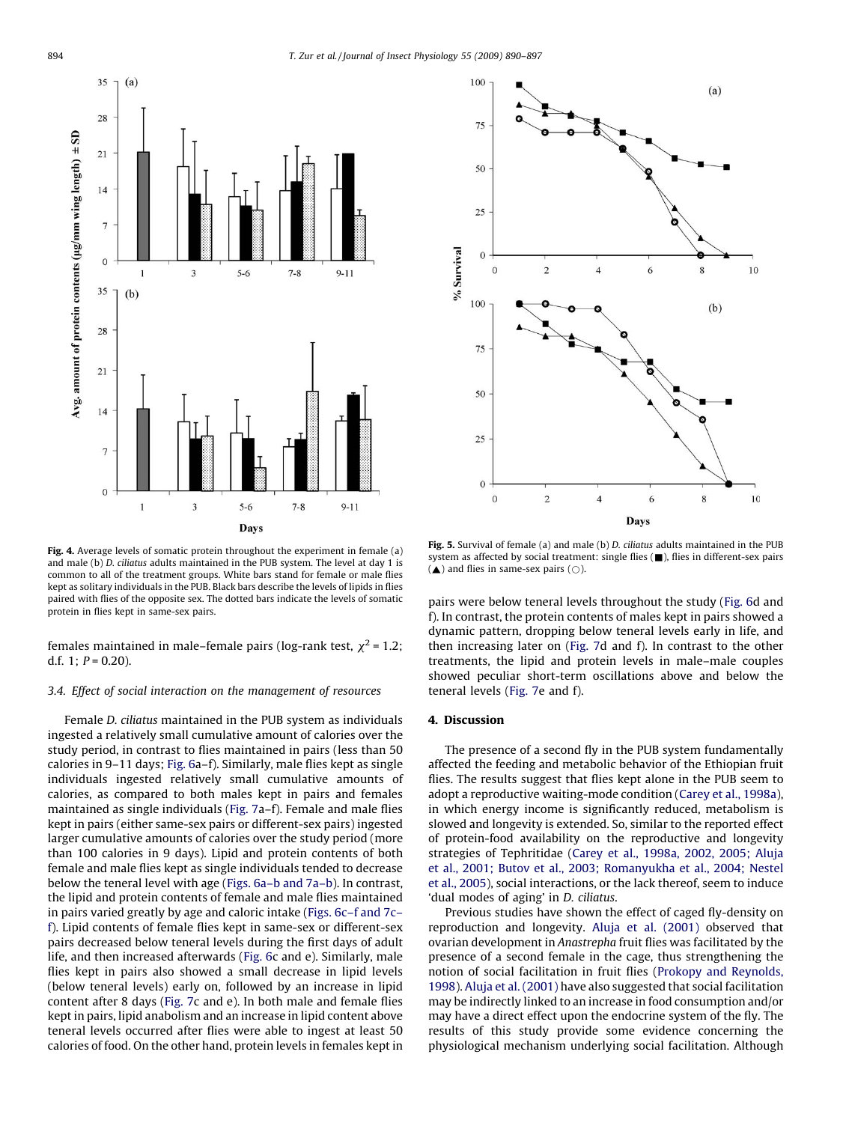<span id="page-4-0"></span>

Fig. 4. Average levels of somatic protein throughout the experiment in female (a) and male (b) D. ciliatus adults maintained in the PUB system. The level at day 1 is common to all of the treatment groups. White bars stand for female or male flies kept as solitary individuals in the PUB. Black bars describe the levels of lipids in flies paired with flies of the opposite sex. The dotted bars indicate the levels of somatic protein in flies kept in same-sex pairs.

females maintained in male–female pairs (log-rank test,  $\chi^2$  = 1.2; d.f. 1;  $P = 0.20$ ).

### 3.4. Effect of social interaction on the management of resources

Female D. ciliatus maintained in the PUB system as individuals ingested a relatively small cumulative amount of calories over the study period, in contrast to flies maintained in pairs (less than 50 calories in 9–11 days; [Fig. 6](#page-5-0)a–f). Similarly, male flies kept as single individuals ingested relatively small cumulative amounts of calories, as compared to both males kept in pairs and females maintained as single individuals [\(Fig. 7a](#page-5-0)–f). Female and male flies kept in pairs (either same-sex pairs or different-sex pairs) ingested larger cumulative amounts of calories over the study period (more than 100 calories in 9 days). Lipid and protein contents of both female and male flies kept as single individuals tended to decrease below the teneral level with age [\(Figs. 6a–b and 7a–b](#page-5-0)). In contrast, the lipid and protein contents of female and male flies maintained in pairs varied greatly by age and caloric intake ([Figs. 6c–f and 7c–](#page-5-0) [f](#page-5-0)). Lipid contents of female flies kept in same-sex or different-sex pairs decreased below teneral levels during the first days of adult life, and then increased afterwards [\(Fig. 6c](#page-5-0) and e). Similarly, male flies kept in pairs also showed a small decrease in lipid levels (below teneral levels) early on, followed by an increase in lipid content after 8 days [\(Fig. 7](#page-5-0)c and e). In both male and female flies kept in pairs, lipid anabolism and an increase in lipid content above teneral levels occurred after flies were able to ingest at least 50 calories of food. On the other hand, protein levels in females kept in



Fig. 5. Survival of female (a) and male (b) D. ciliatus adults maintained in the PUB system as affected by social treatment: single flies  $(\blacksquare)$ , flies in different-sex pairs  $({\blacktriangle})$  and flies in same-sex pairs  $(\bigcirc)$ .

pairs were below teneral levels throughout the study ([Fig. 6](#page-5-0)d and f). In contrast, the protein contents of males kept in pairs showed a dynamic pattern, dropping below teneral levels early in life, and then increasing later on ([Fig. 7](#page-5-0)d and f). In contrast to the other treatments, the lipid and protein levels in male–male couples showed peculiar short-term oscillations above and below the teneral levels [\(Fig. 7e](#page-5-0) and f).

#### 4. Discussion

The presence of a second fly in the PUB system fundamentally affected the feeding and metabolic behavior of the Ethiopian fruit flies. The results suggest that flies kept alone in the PUB seem to adopt a reproductive waiting-mode condition [\(Carey et al., 1998a\)](#page-6-0), in which energy income is significantly reduced, metabolism is slowed and longevity is extended. So, similar to the reported effect of protein-food availability on the reproductive and longevity strategies of Tephritidae ([Carey et al., 1998a, 2002, 2005; Aluja](#page-6-0) [et al., 2001; Butov et al., 2003; Romanyukha et al., 2004; Nestel](#page-6-0) [et al., 2005\)](#page-6-0), social interactions, or the lack thereof, seem to induce 'dual modes of aging' in D. ciliatus.

Previous studies have shown the effect of caged fly-density on reproduction and longevity. [Aluja et al. \(2001\)](#page-6-0) observed that ovarian development in Anastrepha fruit flies was facilitated by the presence of a second female in the cage, thus strengthening the notion of social facilitation in fruit flies ([Prokopy and Reynolds,](#page-7-0) [1998](#page-7-0)). [Aluja et al. \(2001\)](#page-6-0) have also suggested that social facilitation may be indirectly linked to an increase in food consumption and/or may have a direct effect upon the endocrine system of the fly. The results of this study provide some evidence concerning the physiological mechanism underlying social facilitation. Although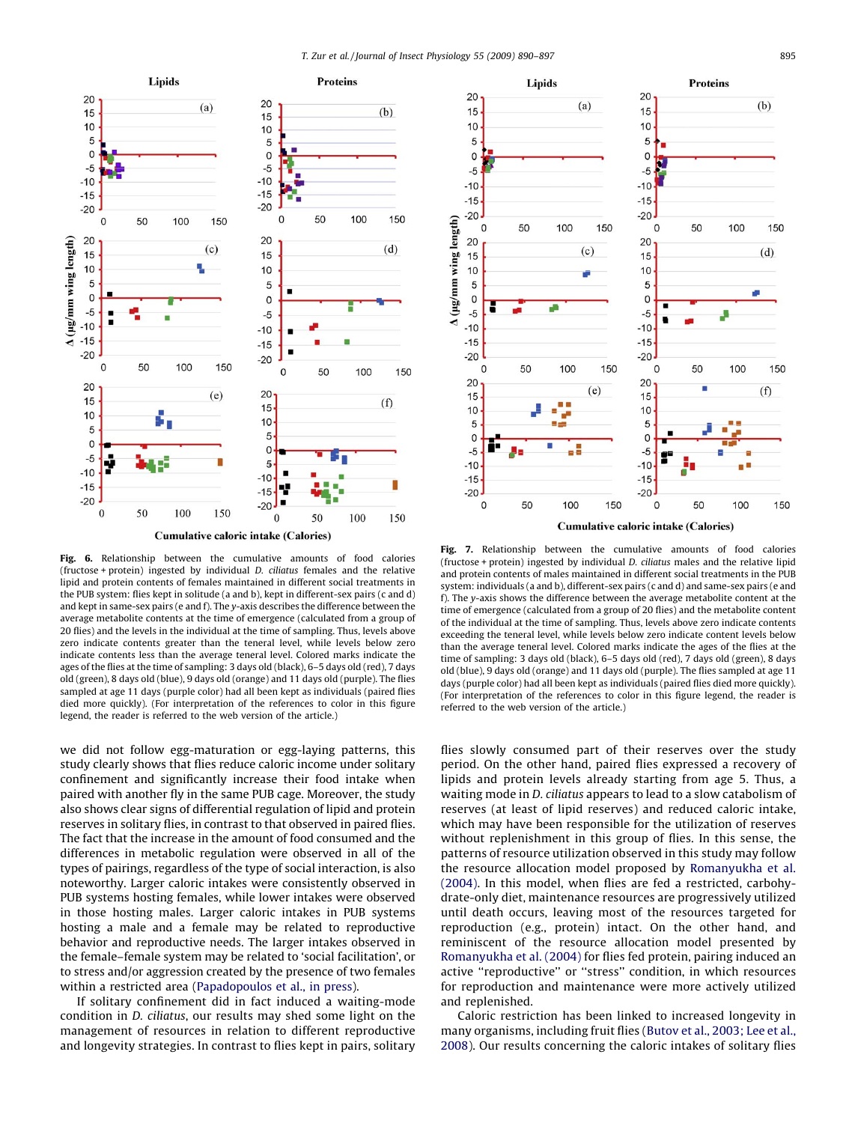<span id="page-5-0"></span>

Fig. 6. Relationship between the cumulative amounts of food calories (fructose + protein) ingested by individual D. ciliatus females and the relative lipid and protein contents of females maintained in different social treatments in the PUB system: flies kept in solitude (a and b), kept in different-sex pairs (c and d) and kept in same-sex pairs (e and f). The y-axis describes the difference between the average metabolite contents at the time of emergence (calculated from a group of 20 flies) and the levels in the individual at the time of sampling. Thus, levels above zero indicate contents greater than the teneral level, while levels below zero indicate contents less than the average teneral level. Colored marks indicate the ages of the flies at the time of sampling: 3 days old (black), 6–5 days old (red), 7 days old (green), 8 days old (blue), 9 days old (orange) and 11 days old (purple). The flies sampled at age 11 days (purple color) had all been kept as individuals (paired flies died more quickly). (For interpretation of the references to color in this figure legend, the reader is referred to the web version of the article.)

we did not follow egg-maturation or egg-laying patterns, this study clearly shows that flies reduce caloric income under solitary confinement and significantly increase their food intake when paired with another fly in the same PUB cage. Moreover, the study also shows clear signs of differential regulation of lipid and protein reserves in solitary flies, in contrast to that observed in paired flies. The fact that the increase in the amount of food consumed and the differences in metabolic regulation were observed in all of the types of pairings, regardless of the type of social interaction, is also noteworthy. Larger caloric intakes were consistently observed in PUB systems hosting females, while lower intakes were observed in those hosting males. Larger caloric intakes in PUB systems hosting a male and a female may be related to reproductive behavior and reproductive needs. The larger intakes observed in the female–female system may be related to 'social facilitation', or to stress and/or aggression created by the presence of two females within a restricted area [\(Papadopoulos et al., in press\)](#page-7-0).

If solitary confinement did in fact induced a waiting-mode condition in D. ciliatus, our results may shed some light on the management of resources in relation to different reproductive and longevity strategies. In contrast to flies kept in pairs, solitary



Fig. 7. Relationship between the cumulative amounts of food calories (fructose + protein) ingested by individual D. ciliatus males and the relative lipid and protein contents of males maintained in different social treatments in the PUB system: individuals (a and b), different-sex pairs (c and d) and same-sex pairs (e and f). The y-axis shows the difference between the average metabolite content at the time of emergence (calculated from a group of 20 flies) and the metabolite content of the individual at the time of sampling. Thus, levels above zero indicate contents exceeding the teneral level, while levels below zero indicate content levels below than the average teneral level. Colored marks indicate the ages of the flies at the time of sampling: 3 days old (black), 6–5 days old (red), 7 days old (green), 8 days old (blue), 9 days old (orange) and 11 days old (purple). The flies sampled at age 11 days (purple color) had all been kept as individuals (paired flies died more quickly). (For interpretation of the references to color in this figure legend, the reader is referred to the web version of the article.)

flies slowly consumed part of their reserves over the study period. On the other hand, paired flies expressed a recovery of lipids and protein levels already starting from age 5. Thus, a waiting mode in D. ciliatus appears to lead to a slow catabolism of reserves (at least of lipid reserves) and reduced caloric intake, which may have been responsible for the utilization of reserves without replenishment in this group of flies. In this sense, the patterns of resource utilization observed in this study may follow the resource allocation model proposed by [Romanyukha et al.](#page-7-0) [\(2004\)](#page-7-0). In this model, when flies are fed a restricted, carbohydrate-only diet, maintenance resources are progressively utilized until death occurs, leaving most of the resources targeted for reproduction (e.g., protein) intact. On the other hand, and reminiscent of the resource allocation model presented by [Romanyukha et al. \(2004\)](#page-7-0) for flies fed protein, pairing induced an active ''reproductive'' or ''stress'' condition, in which resources for reproduction and maintenance were more actively utilized and replenished.

Caloric restriction has been linked to increased longevity in many organisms, including fruit flies ([Butov et al., 2003; Lee et al.,](#page-6-0) [2008](#page-6-0)). Our results concerning the caloric intakes of solitary flies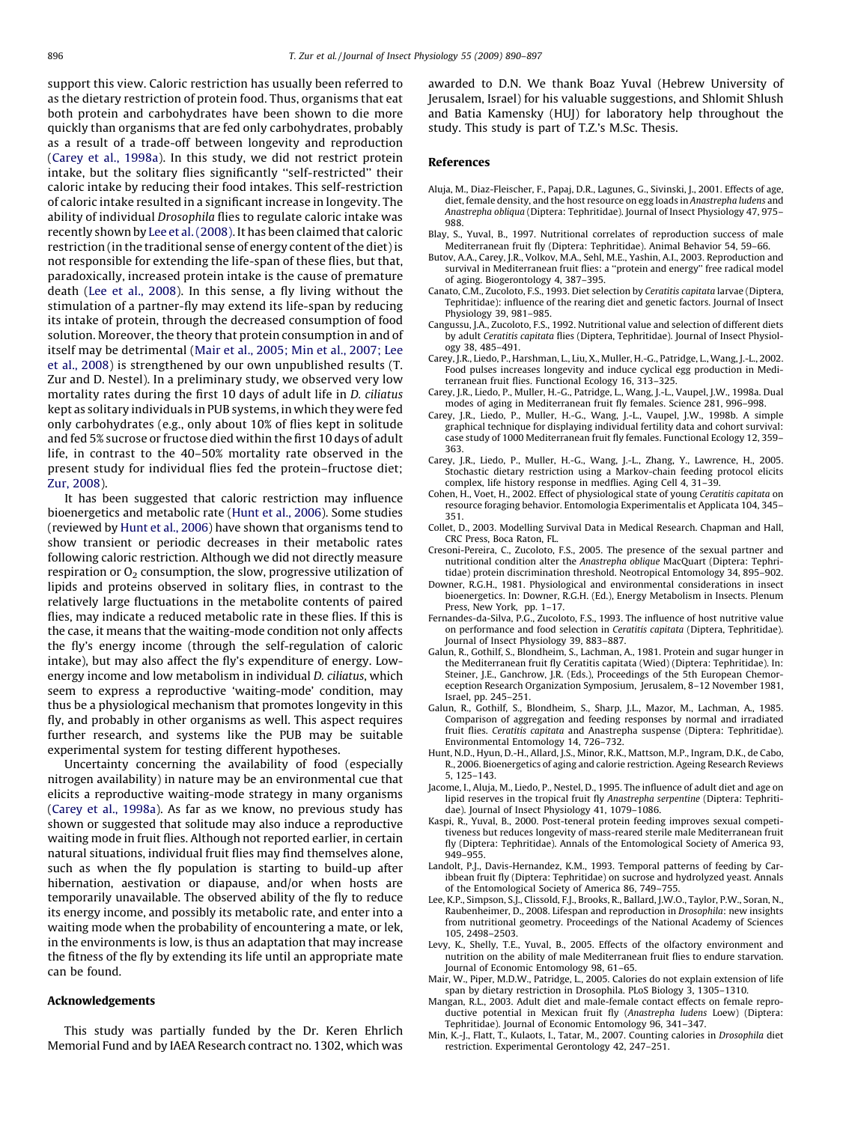<span id="page-6-0"></span>support this view. Caloric restriction has usually been referred to as the dietary restriction of protein food. Thus, organisms that eat both protein and carbohydrates have been shown to die more quickly than organisms that are fed only carbohydrates, probably as a result of a trade-off between longevity and reproduction (Carey et al., 1998a). In this study, we did not restrict protein intake, but the solitary flies significantly ''self-restricted'' their caloric intake by reducing their food intakes. This self-restriction of caloric intake resulted in a significant increase in longevity. The ability of individual Drosophila flies to regulate caloric intake was recently shown by Lee et al. (2008). It has been claimed that caloric restriction (in the traditional sense of energy content of the diet) is not responsible for extending the life-span of these flies, but that, paradoxically, increased protein intake is the cause of premature death (Lee et al., 2008). In this sense, a fly living without the stimulation of a partner-fly may extend its life-span by reducing its intake of protein, through the decreased consumption of food solution. Moreover, the theory that protein consumption in and of itself may be detrimental (Mair et al., 2005; Min et al., 2007; Lee et al., 2008) is strengthened by our own unpublished results (T. Zur and D. Nestel). In a preliminary study, we observed very low mortality rates during the first 10 days of adult life in D. ciliatus kept as solitary individuals in PUB systems, in which they were fed only carbohydrates (e.g., only about 10% of flies kept in solitude and fed 5% sucrose or fructose died within the first 10 days of adult life, in contrast to the 40–50% mortality rate observed in the present study for individual flies fed the protein–fructose diet; [Zur, 2008](#page-7-0)).

It has been suggested that caloric restriction may influence bioenergetics and metabolic rate (Hunt et al., 2006). Some studies (reviewed by Hunt et al., 2006) have shown that organisms tend to show transient or periodic decreases in their metabolic rates following caloric restriction. Although we did not directly measure respiration or  $O<sub>2</sub>$  consumption, the slow, progressive utilization of lipids and proteins observed in solitary flies, in contrast to the relatively large fluctuations in the metabolite contents of paired flies, may indicate a reduced metabolic rate in these flies. If this is the case, it means that the waiting-mode condition not only affects the fly's energy income (through the self-regulation of caloric intake), but may also affect the fly's expenditure of energy. Lowenergy income and low metabolism in individual D. ciliatus, which seem to express a reproductive 'waiting-mode' condition, may thus be a physiological mechanism that promotes longevity in this fly, and probably in other organisms as well. This aspect requires further research, and systems like the PUB may be suitable experimental system for testing different hypotheses.

Uncertainty concerning the availability of food (especially nitrogen availability) in nature may be an environmental cue that elicits a reproductive waiting-mode strategy in many organisms (Carey et al., 1998a). As far as we know, no previous study has shown or suggested that solitude may also induce a reproductive waiting mode in fruit flies. Although not reported earlier, in certain natural situations, individual fruit flies may find themselves alone, such as when the fly population is starting to build-up after hibernation, aestivation or diapause, and/or when hosts are temporarily unavailable. The observed ability of the fly to reduce its energy income, and possibly its metabolic rate, and enter into a waiting mode when the probability of encountering a mate, or lek, in the environments is low, is thus an adaptation that may increase the fitness of the fly by extending its life until an appropriate mate can be found.

# Acknowledgements

This study was partially funded by the Dr. Keren Ehrlich Memorial Fund and by IAEA Research contract no. 1302, which was awarded to D.N. We thank Boaz Yuval (Hebrew University of Jerusalem, Israel) for his valuable suggestions, and Shlomit Shlush and Batia Kamensky (HUJ) for laboratory help throughout the study. This study is part of T.Z.'s M.Sc. Thesis.

#### References

- Aluja, M., Diaz-Fleischer, F., Papaj, D.R., Lagunes, G., Sivinski, J., 2001. Effects of age, diet, female density, and the host resource on egg loads in Anastrepha ludens and Anastrepha obliqua (Diptera: Tephritidae). Journal of Insect Physiology 47, 975– 988.
- Blay, S., Yuval, B., 1997. Nutritional correlates of reproduction success of male Mediterranean fruit fly (Diptera: Tephritidae). Animal Behavior 54, 59–66.
- Butov, A.A., Carey, J.R., Volkov, M.A., Sehl, M.E., Yashin, A.I., 2003. Reproduction and survival in Mediterranean fruit flies: a ''protein and energy'' free radical model of aging. Biogerontology 4, 387–395.
- Canato, C.M., Zucoloto, F.S., 1993. Diet selection by Ceratitis capitata larvae (Diptera, Tephritidae): influence of the rearing diet and genetic factors. Journal of Insect Physiology 39, 981–985.
- Cangussu, J.A., Zucoloto, F.S., 1992. Nutritional value and selection of different diets by adult Ceratitis capitata flies (Diptera, Tephritidae). Journal of Insect Physiology 38, 485–491.
- Carey, J.R., Liedo, P., Harshman, L., Liu, X., Muller, H.-G., Patridge, L., Wang, J.-L., 2002. Food pulses increases longevity and induce cyclical egg production in Mediterranean fruit flies. Functional Ecology 16, 313–325.
- Carey, J.R., Liedo, P., Muller, H.-G., Patridge, L., Wang, J.-L., Vaupel, J.W., 1998a. Dual modes of aging in Mediterranean fruit fly females. Science 281, 996–998.
- Carey, J.R., Liedo, P., Muller, H.-G., Wang, J.-L., Vaupel, J.W., 1998b. A simple graphical technique for displaying individual fertility data and cohort survival: case study of 1000 Mediterranean fruit fly females. Functional Ecology 12, 359– 363.
- Carey, J.R., Liedo, P., Muller, H.-G., Wang, J.-L., Zhang, Y., Lawrence, H., 2005. Stochastic dietary restriction using a Markov-chain feeding protocol elicits complex, life history response in medflies. Aging Cell 4, 31–39.
- Cohen, H., Voet, H., 2002. Effect of physiological state of young Ceratitis capitata on resource foraging behavior. Entomologia Experimentalis et Applicata 104, 345– 351.
- Collet, D., 2003. Modelling Survival Data in Medical Research. Chapman and Hall, CRC Press, Boca Raton, FL.
- Cresoni-Pereira, C., Zucoloto, F.S., 2005. The presence of the sexual partner and nutritional condition alter the Anastrepha oblique MacQuart (Diptera: Tephritidae) protein discrimination threshold. Neotropical Entomology 34, 895–902.
- Downer, R.G.H., 1981. Physiological and environmental considerations in insect bioenergetics. In: Downer, R.G.H. (Ed.), Energy Metabolism in Insects. Plenum Press, New York, pp. 1–17.
- Fernandes-da-Silva, P.G., Zucoloto, F.S., 1993. The influence of host nutritive value on performance and food selection in Ceratitis capitata (Diptera, Tephritidae). Journal of Insect Physiology 39, 883–887.
- Galun, R., Gothilf, S., Blondheim, S., Lachman, A., 1981. Protein and sugar hunger in the Mediterranean fruit fly Ceratitis capitata (Wied) (Diptera: Tephritidae). In: Steiner, J.E., Ganchrow, J.R. (Eds.), Proceedings of the 5th European Chemoreception Research Organization Symposium, Jerusalem, 8–12 November 1981, Israel, pp. 245–251.
- Galun, R., Gothilf, S., Blondheim, S., Sharp, J.L., Mazor, M., Lachman, A., 1985. Comparison of aggregation and feeding responses by normal and irradiated fruit flies. Ceratitis capitata and Anastrepha suspense (Diptera: Tephritidae). Environmental Entomology 14, 726–732.
- Hunt, N.D., Hyun, D.-H., Allard, J.S., Minor, R.K., Mattson, M.P., Ingram, D.K., de Cabo, R., 2006. Bioenergetics of aging and calorie restriction. Ageing Research Reviews 5, 125–143.
- Jacome, I., Aluja, M., Liedo, P., Nestel, D., 1995. The influence of adult diet and age on lipid reserves in the tropical fruit fly Anastrepha serpentine (Diptera: Tephritidae). Journal of Insect Physiology 41, 1079–1086.
- Kaspi, R., Yuval, B., 2000. Post-teneral protein feeding improves sexual competitiveness but reduces longevity of mass-reared sterile male Mediterranean fruit fly (Diptera: Tephritidae). Annals of the Entomological Society of America 93, 949–955.
- Landolt, P.J., Davis-Hernandez, K.M., 1993. Temporal patterns of feeding by Caribbean fruit fly (Diptera: Tephritidae) on sucrose and hydrolyzed yeast. Annals of the Entomological Society of America 86, 749–755.
- Lee, K.P., Simpson, S.J., Clissold, F.J., Brooks, R., Ballard, J.W.O., Taylor, P.W., Soran, N., Raubenheimer, D., 2008. Lifespan and reproduction in Drosophila: new insights from nutritional geometry. Proceedings of the National Academy of Sciences 105, 2498–2503.
- Levy, K., Shelly, T.E., Yuval, B., 2005. Effects of the olfactory environment and nutrition on the ability of male Mediterranean fruit flies to endure starvation. Journal of Economic Entomology 98, 61–65.
- Mair, W., Piper, M.D.W., Patridge, L., 2005. Calories do not explain extension of life span by dietary restriction in Drosophila. PLoS Biology 3, 1305–1310.
- Mangan, R.L., 2003. Adult diet and male-female contact effects on female reproductive potential in Mexican fruit fly (Anastrepha ludens Loew) (Diptera: Tephritidae). Journal of Economic Entomology 96, 341–347.
- Min, K.-J., Flatt, T., Kulaots, I., Tatar, M., 2007. Counting calories in Drosophila diet restriction. Experimental Gerontology 42, 247–251.